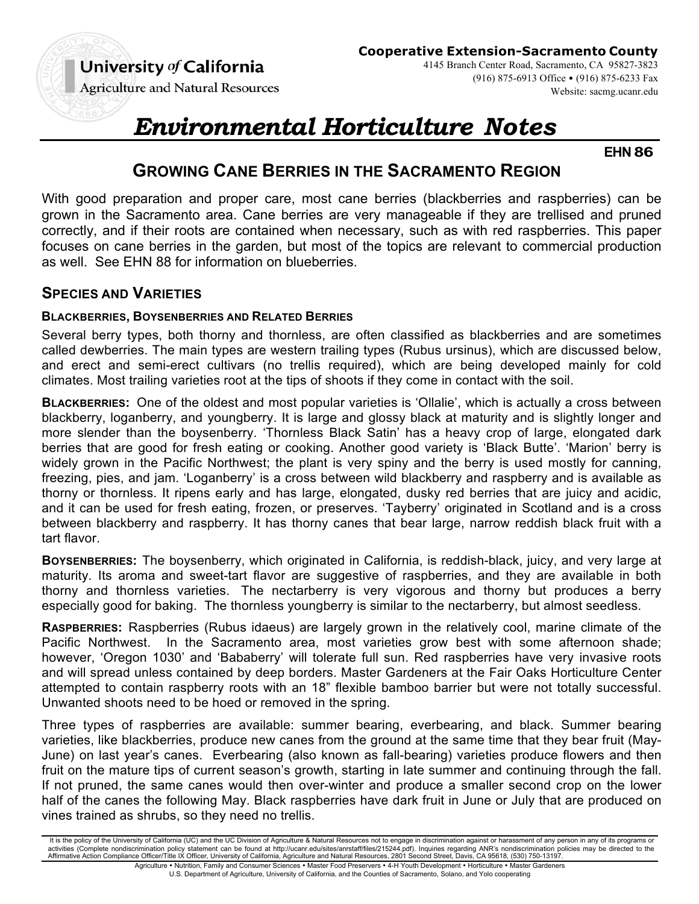**Cooperative Extension-Sacramento County**

**Agriculture and Natural Resources** 

4145 Branch Center Road, Sacramento, CA 95827-3823 (916) 875-6913 Office • (916) 875-6233 Fax Website: sacmg.ucanr.edu

# *Environmental Horticulture Notes*

**EHN 86**

# **GROWING CANE BERRIES IN THE SACRAMENTO REGION**

With good preparation and proper care, most cane berries (blackberries and raspberries) can be grown in the Sacramento area. Cane berries are very manageable if they are trellised and pruned correctly, and if their roots are contained when necessary, such as with red raspberries. This paper focuses on cane berries in the garden, but most of the topics are relevant to commercial production as well. See EHN 88 for information on blueberries.

#### **SPECIES AND VARIETIES**

#### **BLACKBERRIES, BOYSENBERRIES AND RELATED BERRIES**

Several berry types, both thorny and thornless, are often classified as blackberries and are sometimes called dewberries. The main types are western trailing types (Rubus ursinus), which are discussed below, and erect and semi-erect cultivars (no trellis required), which are being developed mainly for cold climates. Most trailing varieties root at the tips of shoots if they come in contact with the soil.

**BLACKBERRIES:** One of the oldest and most popular varieties is 'Ollalie', which is actually a cross between blackberry, loganberry, and youngberry. It is large and glossy black at maturity and is slightly longer and more slender than the boysenberry. 'Thornless Black Satin' has a heavy crop of large, elongated dark berries that are good for fresh eating or cooking. Another good variety is 'Black Butte'. 'Marion' berry is widely grown in the Pacific Northwest; the plant is very spiny and the berry is used mostly for canning, freezing, pies, and jam. 'Loganberry' is a cross between wild blackberry and raspberry and is available as thorny or thornless. It ripens early and has large, elongated, dusky red berries that are juicy and acidic, and it can be used for fresh eating, frozen, or preserves. 'Tayberry' originated in Scotland and is a cross between blackberry and raspberry. It has thorny canes that bear large, narrow reddish black fruit with a tart flavor.

**BOYSENBERRIES:** The boysenberry, which originated in California, is reddish-black, juicy, and very large at maturity. Its aroma and sweet-tart flavor are suggestive of raspberries, and they are available in both thorny and thornless varieties. The nectarberry is very vigorous and thorny but produces a berry especially good for baking. The thornless youngberry is similar to the nectarberry, but almost seedless.

**RASPBERRIES:** Raspberries (Rubus idaeus) are largely grown in the relatively cool, marine climate of the Pacific Northwest. In the Sacramento area, most varieties grow best with some afternoon shade; however, 'Oregon 1030' and 'Bababerry' will tolerate full sun. Red raspberries have very invasive roots and will spread unless contained by deep borders. Master Gardeners at the Fair Oaks Horticulture Center attempted to contain raspberry roots with an 18" flexible bamboo barrier but were not totally successful. Unwanted shoots need to be hoed or removed in the spring.

Three types of raspberries are available: summer bearing, everbearing, and black. Summer bearing varieties, like blackberries, produce new canes from the ground at the same time that they bear fruit (May-June) on last year's canes. Everbearing (also known as fall-bearing) varieties produce flowers and then fruit on the mature tips of current season's growth, starting in late summer and continuing through the fall. If not pruned, the same canes would then over-winter and produce a smaller second crop on the lower half of the canes the following May. Black raspberries have dark fruit in June or July that are produced on vines trained as shrubs, so they need no trellis.

It is the policy of the University of California (UC) and the UC Division of Agriculture & Natural Resources not to engage in discrimination against or harassment of any person in any of its programs or activities (Complete nondiscrimination policy statement can be found at http://ucanr.edu/sites/anrstaff/files/215244.pdf). Inquiries regarding ANR's nondiscrimination policies may be directed to the<br>Affirmative Action Comp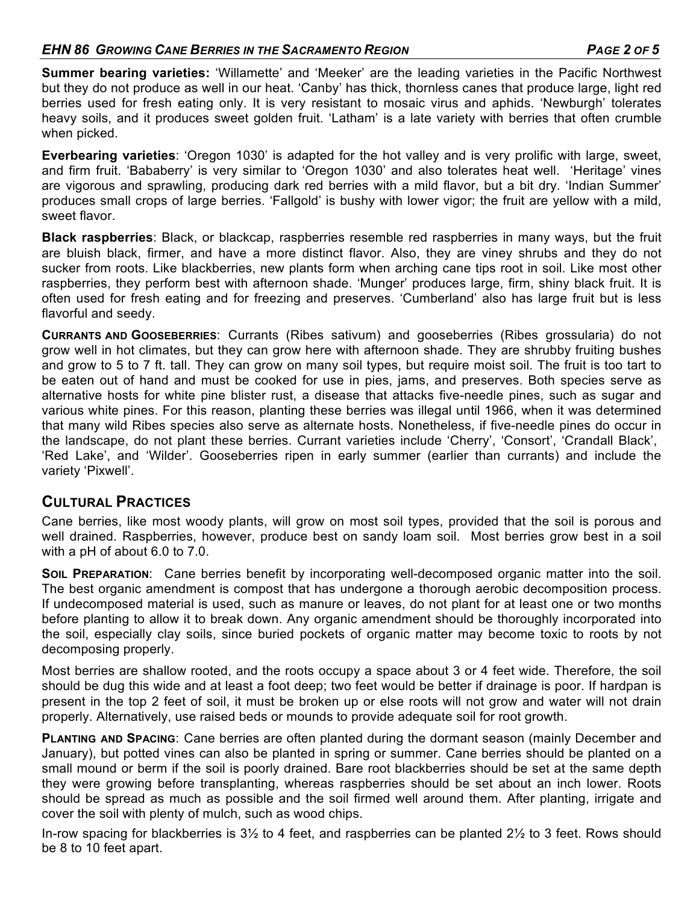#### *EHN 86 GROWING CANE BERRIES IN THE SACRAMENTO REGION PAGE 2 OF 5*

**Summer bearing varieties:** 'Willamette' and 'Meeker' are the leading varieties in the Pacific Northwest but they do not produce as well in our heat. 'Canby' has thick, thornless canes that produce large, light red berries used for fresh eating only. It is very resistant to mosaic virus and aphids. 'Newburgh' tolerates heavy soils, and it produces sweet golden fruit. 'Latham' is a late variety with berries that often crumble when picked.

**Everbearing varieties**: 'Oregon 1030' is adapted for the hot valley and is very prolific with large, sweet, and firm fruit. 'Bababerry' is very similar to 'Oregon 1030' and also tolerates heat well. 'Heritage' vines are vigorous and sprawling, producing dark red berries with a mild flavor, but a bit dry. 'Indian Summer' produces small crops of large berries. 'Fallgold' is bushy with lower vigor; the fruit are yellow with a mild, sweet flavor.

**Black raspberries**: Black, or blackcap, raspberries resemble red raspberries in many ways, but the fruit are bluish black, firmer, and have a more distinct flavor. Also, they are viney shrubs and they do not sucker from roots. Like blackberries, new plants form when arching cane tips root in soil. Like most other raspberries, they perform best with afternoon shade. 'Munger' produces large, firm, shiny black fruit. It is often used for fresh eating and for freezing and preserves. 'Cumberland' also has large fruit but is less flavorful and seedy.

**CURRANTS AND GOOSEBERRIES**: Currants (Ribes sativum) and gooseberries (Ribes grossularia) do not grow well in hot climates, but they can grow here with afternoon shade. They are shrubby fruiting bushes and grow to 5 to 7 ft. tall. They can grow on many soil types, but require moist soil. The fruit is too tart to be eaten out of hand and must be cooked for use in pies, jams, and preserves. Both species serve as alternative hosts for white pine blister rust, a disease that attacks five-needle pines, such as sugar and various white pines. For this reason, planting these berries was illegal until 1966, when it was determined that many wild Ribes species also serve as alternate hosts. Nonetheless, if five-needle pines do occur in the landscape, do not plant these berries. Currant varieties include 'Cherry', 'Consort', 'Crandall Black', 'Red Lake', and 'Wilder'. Gooseberries ripen in early summer (earlier than currants) and include the variety 'Pixwell'.

#### **CULTURAL PRACTICES**

Cane berries, like most woody plants, will grow on most soil types, provided that the soil is porous and well drained. Raspberries, however, produce best on sandy loam soil. Most berries grow best in a soil with a pH of about 6.0 to 7.0.

**SOIL PREPARATION**: Cane berries benefit by incorporating well-decomposed organic matter into the soil. The best organic amendment is compost that has undergone a thorough aerobic decomposition process. If undecomposed material is used, such as manure or leaves, do not plant for at least one or two months before planting to allow it to break down. Any organic amendment should be thoroughly incorporated into the soil, especially clay soils, since buried pockets of organic matter may become toxic to roots by not decomposing properly.

Most berries are shallow rooted, and the roots occupy a space about 3 or 4 feet wide. Therefore, the soil should be dug this wide and at least a foot deep; two feet would be better if drainage is poor. If hardpan is present in the top 2 feet of soil, it must be broken up or else roots will not grow and water will not drain properly. Alternatively, use raised beds or mounds to provide adequate soil for root growth.

**PLANTING AND SPACING**: Cane berries are often planted during the dormant season (mainly December and January), but potted vines can also be planted in spring or summer. Cane berries should be planted on a small mound or berm if the soil is poorly drained. Bare root blackberries should be set at the same depth they were growing before transplanting, whereas raspberries should be set about an inch lower. Roots should be spread as much as possible and the soil firmed well around them. After planting, irrigate and cover the soil with plenty of mulch, such as wood chips.

In-row spacing for blackberries is 3½ to 4 feet, and raspberries can be planted 2½ to 3 feet. Rows should be 8 to 10 feet apart.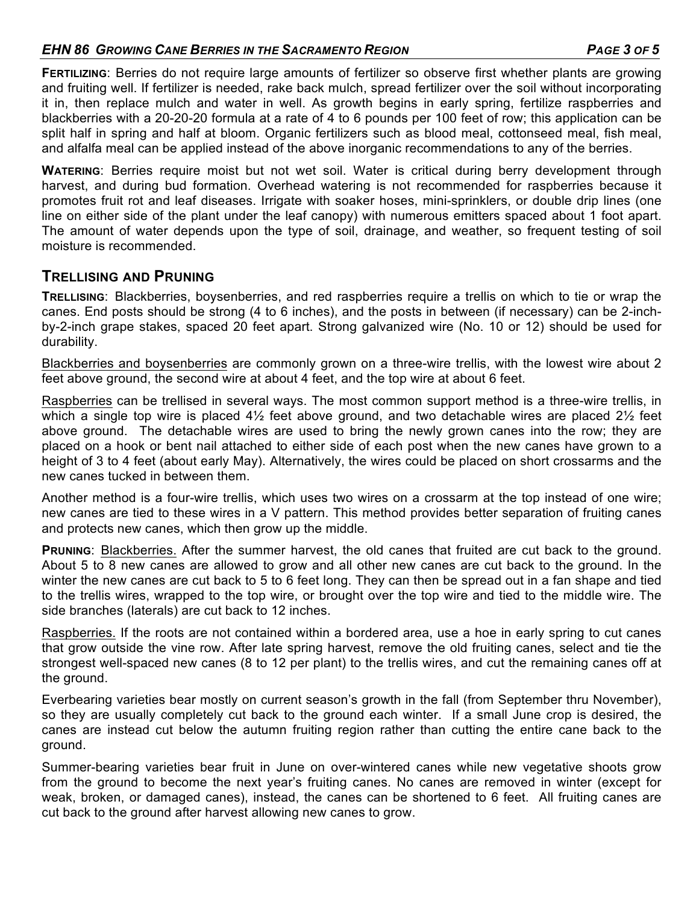#### *EHN 86 GROWING CANE BERRIES IN THE SACRAMENTO REGION PAGE 3 OF 5*

**FERTILIZING**: Berries do not require large amounts of fertilizer so observe first whether plants are growing and fruiting well. If fertilizer is needed, rake back mulch, spread fertilizer over the soil without incorporating it in, then replace mulch and water in well. As growth begins in early spring, fertilize raspberries and blackberries with a 20-20-20 formula at a rate of 4 to 6 pounds per 100 feet of row; this application can be split half in spring and half at bloom. Organic fertilizers such as blood meal, cottonseed meal, fish meal, and alfalfa meal can be applied instead of the above inorganic recommendations to any of the berries.

**WATERING**: Berries require moist but not wet soil. Water is critical during berry development through harvest, and during bud formation. Overhead watering is not recommended for raspberries because it promotes fruit rot and leaf diseases. Irrigate with soaker hoses, mini-sprinklers, or double drip lines (one line on either side of the plant under the leaf canopy) with numerous emitters spaced about 1 foot apart. The amount of water depends upon the type of soil, drainage, and weather, so frequent testing of soil moisture is recommended.

#### **TRELLISING AND PRUNING**

**TRELLISING**: Blackberries, boysenberries, and red raspberries require a trellis on which to tie or wrap the canes. End posts should be strong (4 to 6 inches), and the posts in between (if necessary) can be 2-inchby-2-inch grape stakes, spaced 20 feet apart. Strong galvanized wire (No. 10 or 12) should be used for durability.

Blackberries and boysenberries are commonly grown on a three-wire trellis, with the lowest wire about 2 feet above ground, the second wire at about 4 feet, and the top wire at about 6 feet.

Raspberries can be trellised in several ways. The most common support method is a three-wire trellis, in which a single top wire is placed  $4\frac{1}{2}$  feet above ground, and two detachable wires are placed  $2\frac{1}{2}$  feet above ground. The detachable wires are used to bring the newly grown canes into the row; they are placed on a hook or bent nail attached to either side of each post when the new canes have grown to a height of 3 to 4 feet (about early May). Alternatively, the wires could be placed on short crossarms and the new canes tucked in between them.

Another method is a four-wire trellis, which uses two wires on a crossarm at the top instead of one wire; new canes are tied to these wires in a V pattern. This method provides better separation of fruiting canes and protects new canes, which then grow up the middle.

**PRUNING**: Blackberries. After the summer harvest, the old canes that fruited are cut back to the ground. About 5 to 8 new canes are allowed to grow and all other new canes are cut back to the ground. In the winter the new canes are cut back to 5 to 6 feet long. They can then be spread out in a fan shape and tied to the trellis wires, wrapped to the top wire, or brought over the top wire and tied to the middle wire. The side branches (laterals) are cut back to 12 inches.

Raspberries. If the roots are not contained within a bordered area, use a hoe in early spring to cut canes that grow outside the vine row. After late spring harvest, remove the old fruiting canes, select and tie the strongest well-spaced new canes (8 to 12 per plant) to the trellis wires, and cut the remaining canes off at the ground.

Everbearing varieties bear mostly on current season's growth in the fall (from September thru November), so they are usually completely cut back to the ground each winter. If a small June crop is desired, the canes are instead cut below the autumn fruiting region rather than cutting the entire cane back to the ground.

Summer-bearing varieties bear fruit in June on over-wintered canes while new vegetative shoots grow from the ground to become the next year's fruiting canes. No canes are removed in winter (except for weak, broken, or damaged canes), instead, the canes can be shortened to 6 feet. All fruiting canes are cut back to the ground after harvest allowing new canes to grow.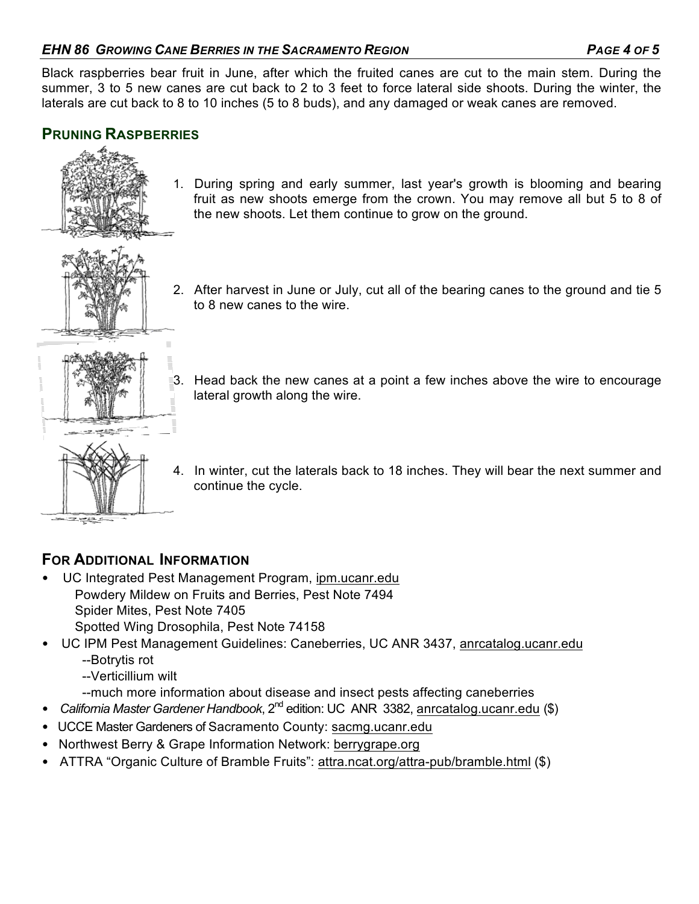Black raspberries bear fruit in June, after which the fruited canes are cut to the main stem. During the summer, 3 to 5 new canes are cut back to 2 to 3 feet to force lateral side shoots. During the winter, the laterals are cut back to 8 to 10 inches (5 to 8 buds), and any damaged or weak canes are removed.

# **PRUNING RASPBERRIES**



1. During spring and early summer, last year's growth is blooming and bearing fruit as new shoots emerge from the crown. You may remove all but 5 to 8 of the new shoots. Let them continue to grow on the ground.



2. After harvest in June or July, cut all of the bearing canes to the ground and tie 5 to 8 new canes to the wire.



- 3. Head back the new canes at a point a few inches above the wire to encourage lateral growth along the wire.
- 4. In winter, cut the laterals back to 18 inches. They will bear the next summer and continue the cycle.

- **FOR ADDITIONAL INFORMATION** • UC Integrated Pest Management Program, ipm.ucanr.edu Powdery Mildew on Fruits and Berries, Pest Note 7494 Spider Mites, Pest Note 7405 Spotted Wing Drosophila, Pest Note 74158
- UC IPM Pest Management Guidelines: Caneberries, UC ANR 3437, anrcatalog.ucanr.edu --Botrytis rot
	- --Verticillium wilt
	- --much more information about disease and insect pests affecting caneberries
- *California Master Gardener Handbook*, 2nd edition: UC ANR 3382, anrcatalog.ucanr.edu (\$)
- UCCE Master Gardeners of Sacramento County: sacmg.ucanr.edu
- Northwest Berry & Grape Information Network: berrygrape.org
- ATTRA "Organic Culture of Bramble Fruits": attra.ncat.org/attra-pub/bramble.html (\$)